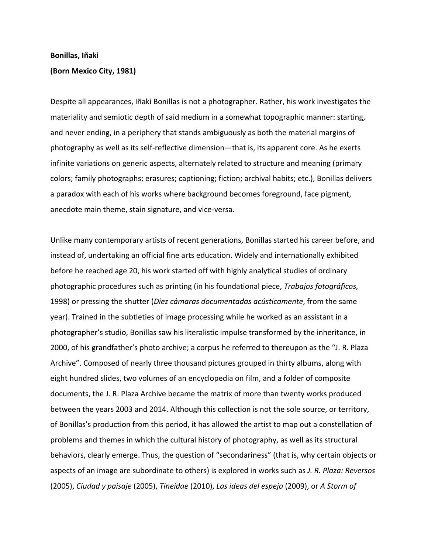## **Bonillas, Iñaki**

## **(Born Mexico City, 1981)**

Despite all appearances, Iñaki Bonillas is not a photographer. Rather, his work investigates the materiality and semiotic depth of said medium in a somewhat topographic manner: starting, and never ending, in a periphery that stands ambiguously as both the material margins of photography as well as its self-reflective dimension—that is, its apparent core. As he exerts infinite variations on generic aspects, alternately related to structure and meaning (primary colors; family photographs; erasures; captioning; fiction; archival habits; etc.), Bonillas delivers a paradox with each of his works where background becomes foreground, face pigment, anecdote main theme, stain signature, and vice-versa.

Unlike many contemporary artists of recent generations, Bonillas started his career before, and instead of, undertaking an official fine arts education. Widely and internationally exhibited before he reached age 20, his work started off with highly analytical studies of ordinary photographic procedures such as printing (in his foundational piece, *Trabajos fotográficos,*  1998) or pressing the shutter (*Diez cámaras documentadas acústicamente*, from the same year). Trained in the subtleties of image processing while he worked as an assistant in a photographer's studio, Bonillas saw his literalistic impulse transformed by the inheritance, in 2000, of his grandfather's photo archive; a corpus he referred to thereupon as the "J. R. Plaza Archive". Composed of nearly three thousand pictures grouped in thirty albums, along with eight hundred slides, two volumes of an encyclopedia on film, and a folder of composite documents, the J. R. Plaza Archive became the matrix of more than twenty works produced between the years 2003 and 2014. Although this collection is not the sole source, or territory, of Bonillas's production from this period, it has allowed the artist to map out a constellation of problems and themes in which the cultural history of photography, as well as its structural behaviors, clearly emerge. Thus, the question of "secondariness" (that is, why certain objects or aspects of an image are subordinate to others) is explored in works such as *J. R. Plaza: Reversos*  (2005), *Ciudad y paisaje* (2005), *Tineidae* (2010), *Las ideas del espejo* (2009), or *A Storm of*